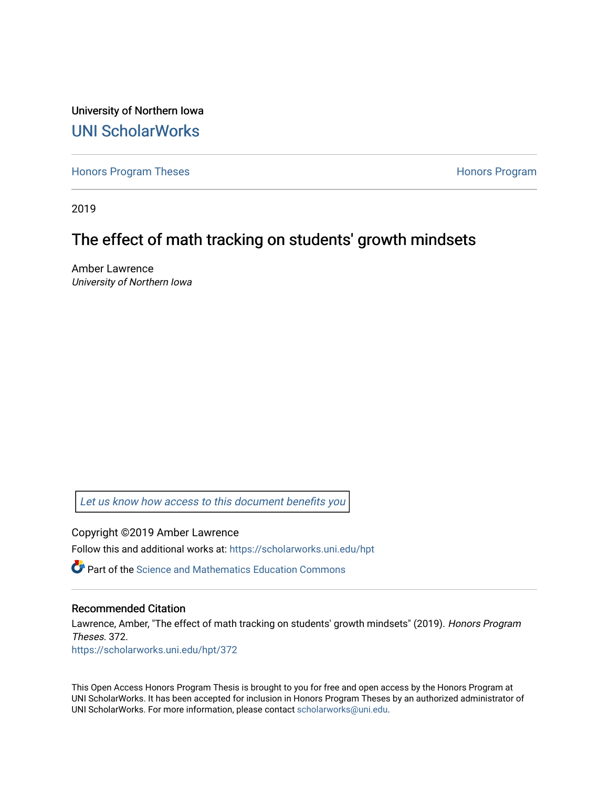University of Northern Iowa [UNI ScholarWorks](https://scholarworks.uni.edu/) 

[Honors Program Theses](https://scholarworks.uni.edu/hpt) **Honors Program** Honors Program

2019

# The effect of math tracking on students' growth mindsets

Amber Lawrence University of Northern Iowa

[Let us know how access to this document benefits you](https://scholarworks.uni.edu/feedback_form.html) 

Copyright ©2019 Amber Lawrence

Follow this and additional works at: [https://scholarworks.uni.edu/hpt](https://scholarworks.uni.edu/hpt?utm_source=scholarworks.uni.edu%2Fhpt%2F372&utm_medium=PDF&utm_campaign=PDFCoverPages) 

 $\bullet$  Part of the Science and Mathematics Education Commons

#### Recommended Citation

Lawrence, Amber, "The effect of math tracking on students' growth mindsets" (2019). Honors Program Theses. 372.

[https://scholarworks.uni.edu/hpt/372](https://scholarworks.uni.edu/hpt/372?utm_source=scholarworks.uni.edu%2Fhpt%2F372&utm_medium=PDF&utm_campaign=PDFCoverPages) 

This Open Access Honors Program Thesis is brought to you for free and open access by the Honors Program at UNI ScholarWorks. It has been accepted for inclusion in Honors Program Theses by an authorized administrator of UNI ScholarWorks. For more information, please contact [scholarworks@uni.edu.](mailto:scholarworks@uni.edu)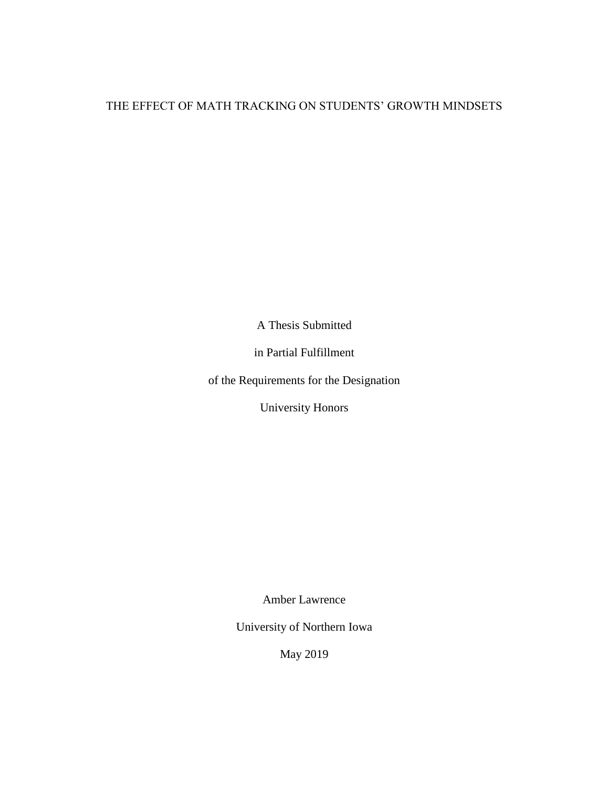# THE EFFECT OF MATH TRACKING ON STUDENTS' GROWTH MINDSETS

A Thesis Submitted

in Partial Fulfillment

of the Requirements for the Designation

University Honors

Amber Lawrence

University of Northern Iowa

May 2019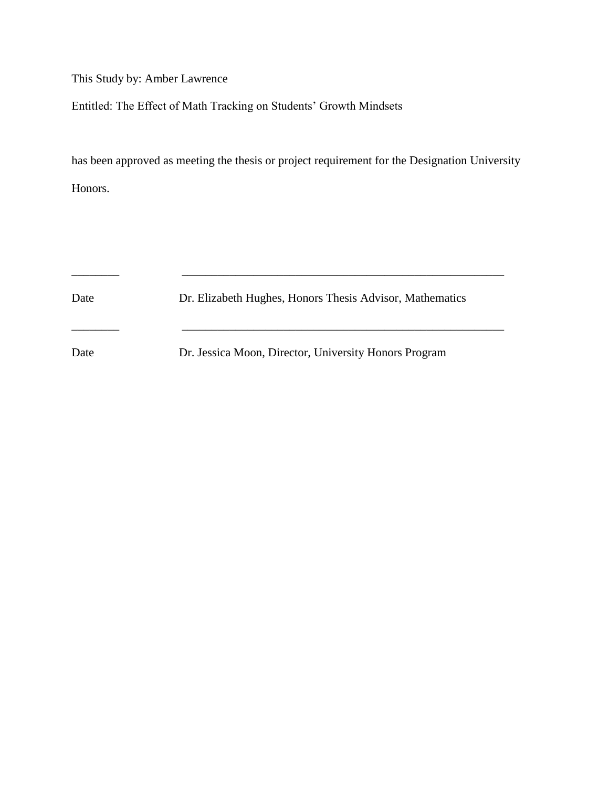This Study by: Amber Lawrence

Entitled: The Effect of Math Tracking on Students' Growth Mindsets

has been approved as meeting the thesis or project requirement for the Designation University Honors.

Date Dr. Elizabeth Hughes, Honors Thesis Advisor, Mathematics \_\_\_\_\_\_\_\_ \_\_\_\_\_\_\_\_\_\_\_\_\_\_\_\_\_\_\_\_\_\_\_\_\_\_\_\_\_\_\_\_\_\_\_\_\_\_\_\_\_\_\_\_\_\_\_\_\_\_\_\_\_\_ Date Dr. Jessica Moon, Director, University Honors Program

\_\_\_\_\_\_\_\_ \_\_\_\_\_\_\_\_\_\_\_\_\_\_\_\_\_\_\_\_\_\_\_\_\_\_\_\_\_\_\_\_\_\_\_\_\_\_\_\_\_\_\_\_\_\_\_\_\_\_\_\_\_\_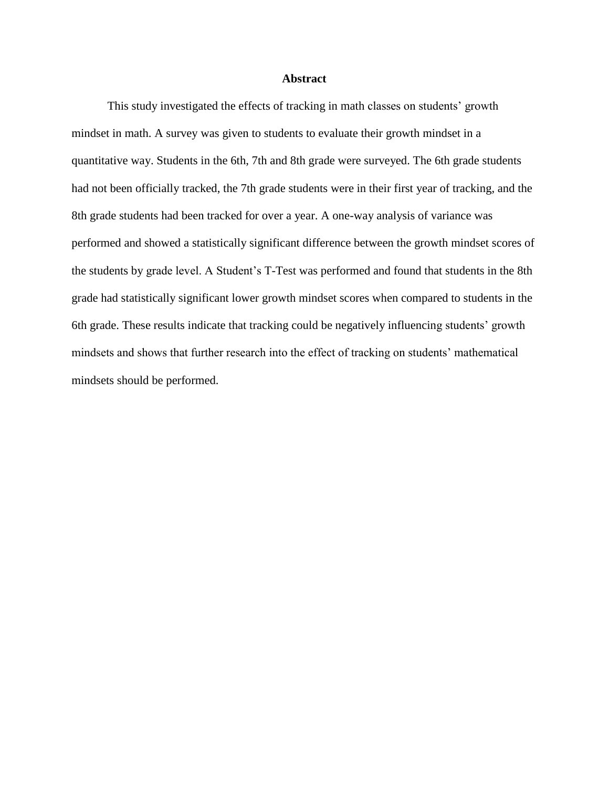#### **Abstract**

This study investigated the effects of tracking in math classes on students' growth mindset in math. A survey was given to students to evaluate their growth mindset in a quantitative way. Students in the 6th, 7th and 8th grade were surveyed. The 6th grade students had not been officially tracked, the 7th grade students were in their first year of tracking, and the 8th grade students had been tracked for over a year. A one-way analysis of variance was performed and showed a statistically significant difference between the growth mindset scores of the students by grade level. A Student's T-Test was performed and found that students in the 8th grade had statistically significant lower growth mindset scores when compared to students in the 6th grade. These results indicate that tracking could be negatively influencing students' growth mindsets and shows that further research into the effect of tracking on students' mathematical mindsets should be performed.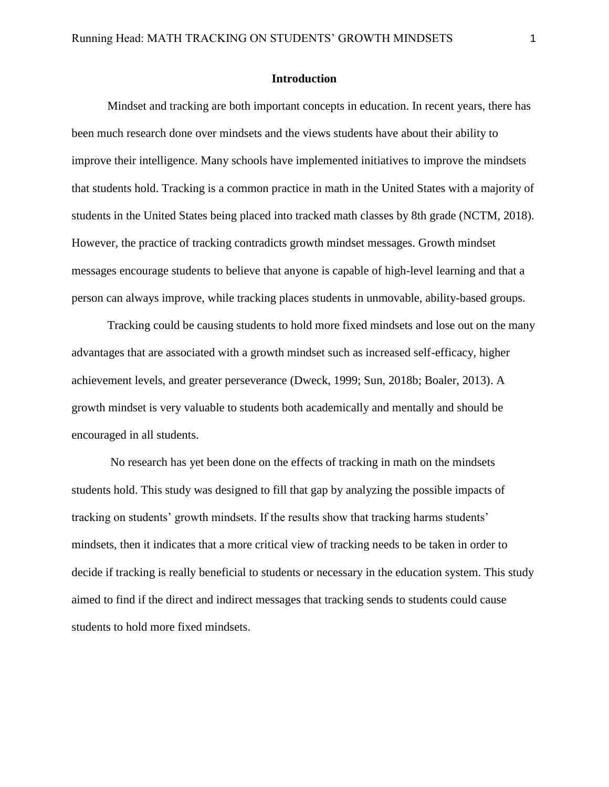#### **Introduction**

Mindset and tracking are both important concepts in education. In recent years, there has been much research done over mindsets and the views students have about their ability to improve their intelligence. Many schools have implemented initiatives to improve the mindsets that students hold. Tracking is a common practice in math in the United States with a majority of students in the United States being placed into tracked math classes by 8th grade (NCTM, 2018). However, the practice of tracking contradicts growth mindset messages. Growth mindset messages encourage students to believe that anyone is capable of high-level learning and that a person can always improve, while tracking places students in unmovable, ability-based groups.

Tracking could be causing students to hold more fixed mindsets and lose out on the many advantages that are associated with a growth mindset such as increased self-efficacy, higher achievement levels, and greater perseverance (Dweck, 1999; Sun, 2018b; Boaler, 2013). A growth mindset is very valuable to students both academically and mentally and should be encouraged in all students.

No research has yet been done on the effects of tracking in math on the mindsets students hold. This study was designed to fill that gap by analyzing the possible impacts of tracking on students' growth mindsets. If the results show that tracking harms students' mindsets, then it indicates that a more critical view of tracking needs to be taken in order to decide if tracking is really beneficial to students or necessary in the education system. This study aimed to find if the direct and indirect messages that tracking sends to students could cause students to hold more fixed mindsets.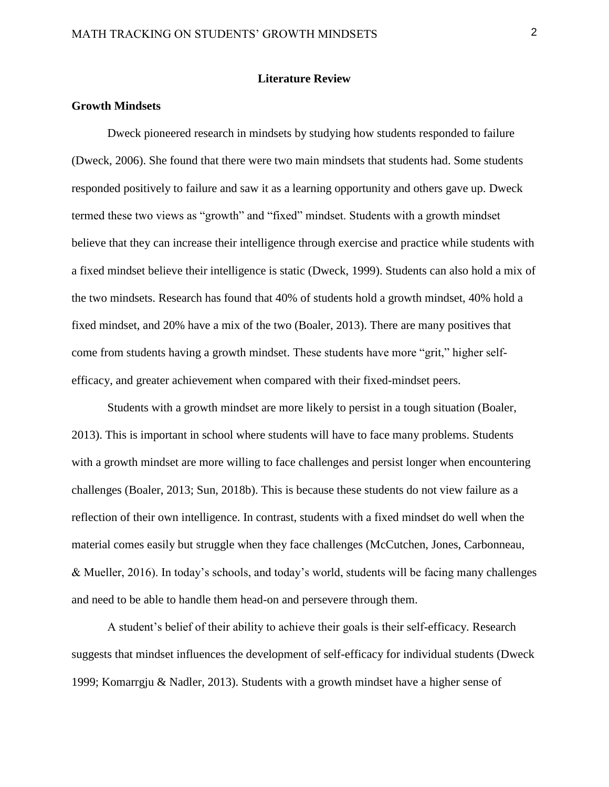#### **Literature Review**

#### **Growth Mindsets**

Dweck pioneered research in mindsets by studying how students responded to failure (Dweck, 2006). She found that there were two main mindsets that students had. Some students responded positively to failure and saw it as a learning opportunity and others gave up. Dweck termed these two views as "growth" and "fixed" mindset. Students with a growth mindset believe that they can increase their intelligence through exercise and practice while students with a fixed mindset believe their intelligence is static (Dweck, 1999). Students can also hold a mix of the two mindsets. Research has found that 40% of students hold a growth mindset, 40% hold a fixed mindset, and 20% have a mix of the two (Boaler, 2013). There are many positives that come from students having a growth mindset. These students have more "grit," higher selfefficacy, and greater achievement when compared with their fixed-mindset peers.

Students with a growth mindset are more likely to persist in a tough situation (Boaler, 2013). This is important in school where students will have to face many problems. Students with a growth mindset are more willing to face challenges and persist longer when encountering challenges (Boaler, 2013; Sun, 2018b). This is because these students do not view failure as a reflection of their own intelligence. In contrast, students with a fixed mindset do well when the material comes easily but struggle when they face challenges (McCutchen, Jones, Carbonneau, & Mueller, 2016). In today's schools, and today's world, students will be facing many challenges and need to be able to handle them head-on and persevere through them.

A student's belief of their ability to achieve their goals is their self-efficacy. Research suggests that mindset influences the development of self-efficacy for individual students (Dweck 1999; Komarrgju & Nadler, 2013). Students with a growth mindset have a higher sense of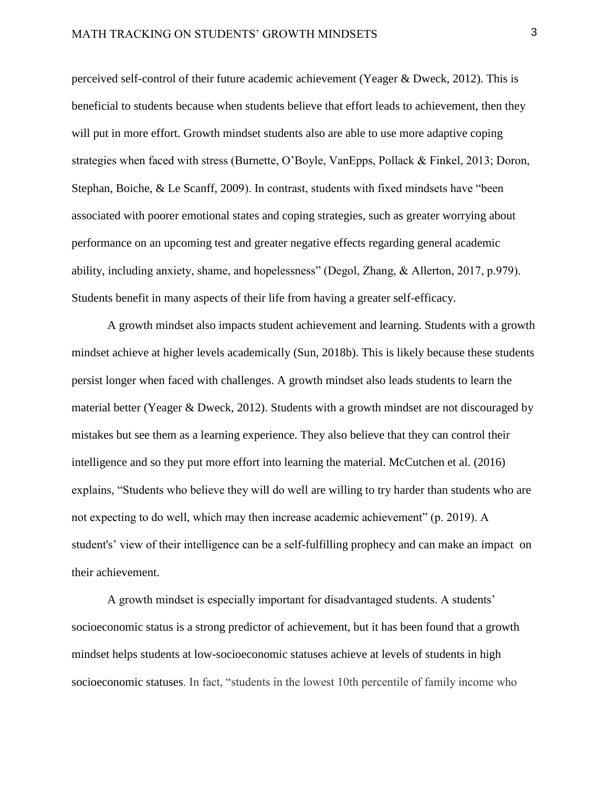perceived self-control of their future academic achievement (Yeager & Dweck, 2012). This is beneficial to students because when students believe that effort leads to achievement, then they will put in more effort. Growth mindset students also are able to use more adaptive coping strategies when faced with stress (Burnette, O'Boyle, VanEpps, Pollack & Finkel, 2013; Doron, Stephan, Boiche, & Le Scanff, 2009). In contrast, students with fixed mindsets have "been associated with poorer emotional states and coping strategies, such as greater worrying about performance on an upcoming test and greater negative effects regarding general academic ability, including anxiety, shame, and hopelessness" (Degol, Zhang, & Allerton, 2017, p.979). Students benefit in many aspects of their life from having a greater self-efficacy.

A growth mindset also impacts student achievement and learning. Students with a growth mindset achieve at higher levels academically (Sun, 2018b). This is likely because these students persist longer when faced with challenges. A growth mindset also leads students to learn the material better (Yeager & Dweck, 2012). Students with a growth mindset are not discouraged by mistakes but see them as a learning experience. They also believe that they can control their intelligence and so they put more effort into learning the material. McCutchen et al. (2016) explains, "Students who believe they will do well are willing to try harder than students who are not expecting to do well, which may then increase academic achievement" (p. 2019). A student's' view of their intelligence can be a self-fulfilling prophecy and can make an impact on their achievement.

A growth mindset is especially important for disadvantaged students. A students' socioeconomic status is a strong predictor of achievement, but it has been found that a growth mindset helps students at low-socioeconomic statuses achieve at levels of students in high socioeconomic statuses. In fact, "students in the lowest 10th percentile of family income who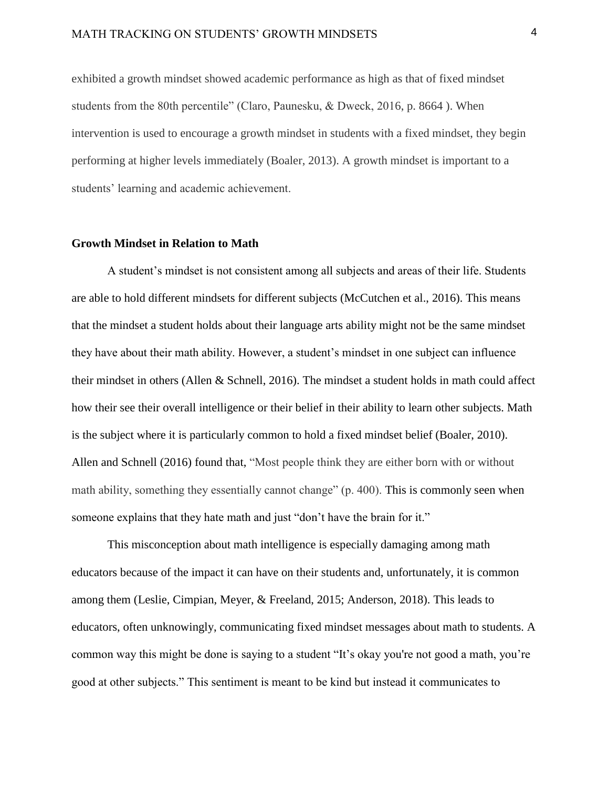### MATH TRACKING ON STUDENTS' GROWTH MINDSETS 4

exhibited a growth mindset showed academic performance as high as that of fixed mindset students from the 80th percentile" (Claro, Paunesku, & Dweck, 2016, p. 8664 ). When intervention is used to encourage a growth mindset in students with a fixed mindset, they begin performing at higher levels immediately (Boaler, 2013). A growth mindset is important to a students' learning and academic achievement.

#### **Growth Mindset in Relation to Math**

A student's mindset is not consistent among all subjects and areas of their life. Students are able to hold different mindsets for different subjects (McCutchen et al., 2016). This means that the mindset a student holds about their language arts ability might not be the same mindset they have about their math ability. However, a student's mindset in one subject can influence their mindset in others (Allen & Schnell, 2016). The mindset a student holds in math could affect how their see their overall intelligence or their belief in their ability to learn other subjects. Math is the subject where it is particularly common to hold a fixed mindset belief (Boaler, 2010). Allen and Schnell (2016) found that, "Most people think they are either born with or without math ability, something they essentially cannot change" (p. 400). This is commonly seen when someone explains that they hate math and just "don't have the brain for it."

This misconception about math intelligence is especially damaging among math educators because of the impact it can have on their students and, unfortunately, it is common among them (Leslie, Cimpian, Meyer, & Freeland, 2015; Anderson, 2018). This leads to educators, often unknowingly, communicating fixed mindset messages about math to students. A common way this might be done is saying to a student "It's okay you're not good a math, you're good at other subjects." This sentiment is meant to be kind but instead it communicates to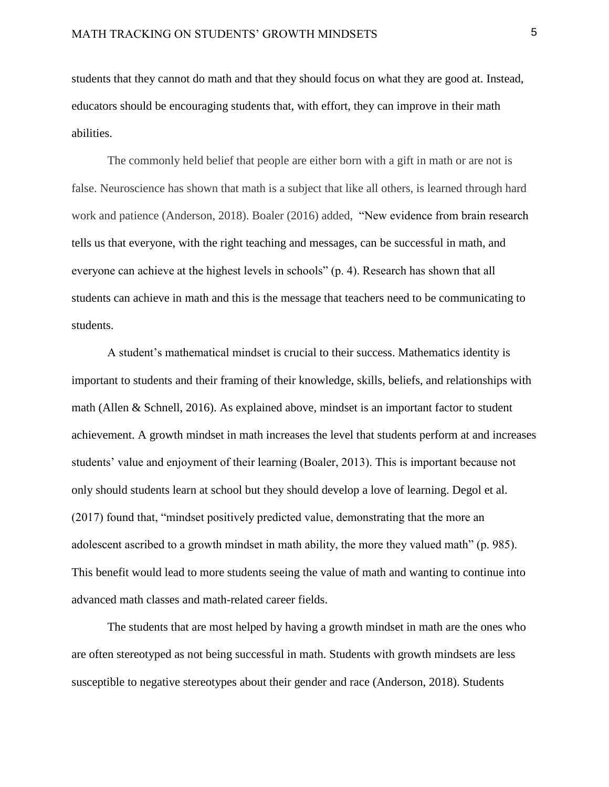students that they cannot do math and that they should focus on what they are good at. Instead, educators should be encouraging students that, with effort, they can improve in their math abilities.

The commonly held belief that people are either born with a gift in math or are not is false. Neuroscience has shown that math is a subject that like all others, is learned through hard work and patience (Anderson, 2018). Boaler (2016) added, "New evidence from brain research tells us that everyone, with the right teaching and messages, can be successful in math, and everyone can achieve at the highest levels in schools" (p. 4). Research has shown that all students can achieve in math and this is the message that teachers need to be communicating to students.

A student's mathematical mindset is crucial to their success. Mathematics identity is important to students and their framing of their knowledge, skills, beliefs, and relationships with math (Allen & Schnell, 2016). As explained above, mindset is an important factor to student achievement. A growth mindset in math increases the level that students perform at and increases students' value and enjoyment of their learning (Boaler, 2013). This is important because not only should students learn at school but they should develop a love of learning. Degol et al. (2017) found that, "mindset positively predicted value, demonstrating that the more an adolescent ascribed to a growth mindset in math ability, the more they valued math" (p. 985). This benefit would lead to more students seeing the value of math and wanting to continue into advanced math classes and math-related career fields.

The students that are most helped by having a growth mindset in math are the ones who are often stereotyped as not being successful in math. Students with growth mindsets are less susceptible to negative stereotypes about their gender and race (Anderson, 2018). Students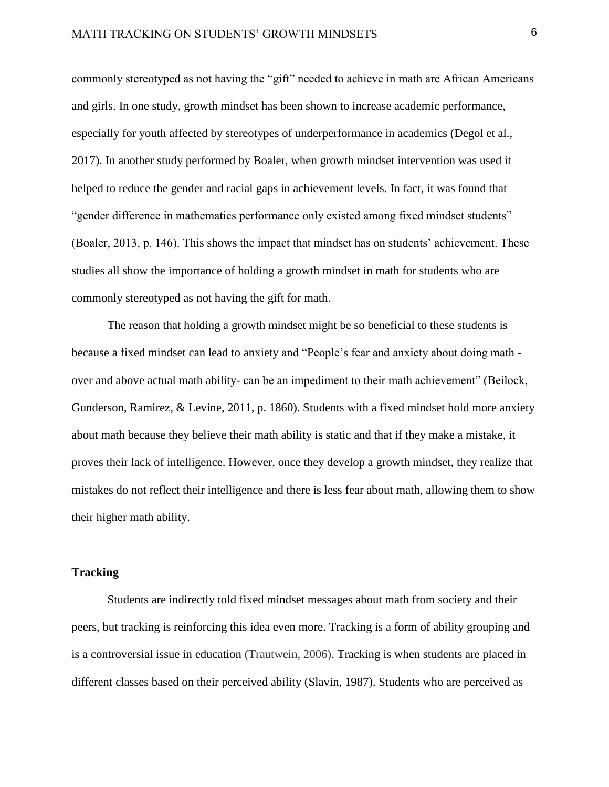commonly stereotyped as not having the "gift" needed to achieve in math are African Americans and girls. In one study, growth mindset has been shown to increase academic performance, especially for youth affected by stereotypes of underperformance in academics (Degol et al., 2017). In another study performed by Boaler, when growth mindset intervention was used it helped to reduce the gender and racial gaps in achievement levels. In fact, it was found that "gender difference in mathematics performance only existed among fixed mindset students" (Boaler, 2013, p. 146). This shows the impact that mindset has on students' achievement. These studies all show the importance of holding a growth mindset in math for students who are commonly stereotyped as not having the gift for math.

The reason that holding a growth mindset might be so beneficial to these students is because a fixed mindset can lead to anxiety and "People's fear and anxiety about doing math over and above actual math ability- can be an impediment to their math achievement" (Beilock, Gunderson, Ramirez, & Levine, 2011, p. 1860). Students with a fixed mindset hold more anxiety about math because they believe their math ability is static and that if they make a mistake, it proves their lack of intelligence. However, once they develop a growth mindset, they realize that mistakes do not reflect their intelligence and there is less fear about math, allowing them to show their higher math ability.

#### **Tracking**

Students are indirectly told fixed mindset messages about math from society and their peers, but tracking is reinforcing this idea even more. Tracking is a form of ability grouping and is a controversial issue in education (Trautwein, 2006). Tracking is when students are placed in different classes based on their perceived ability (Slavin, 1987). Students who are perceived as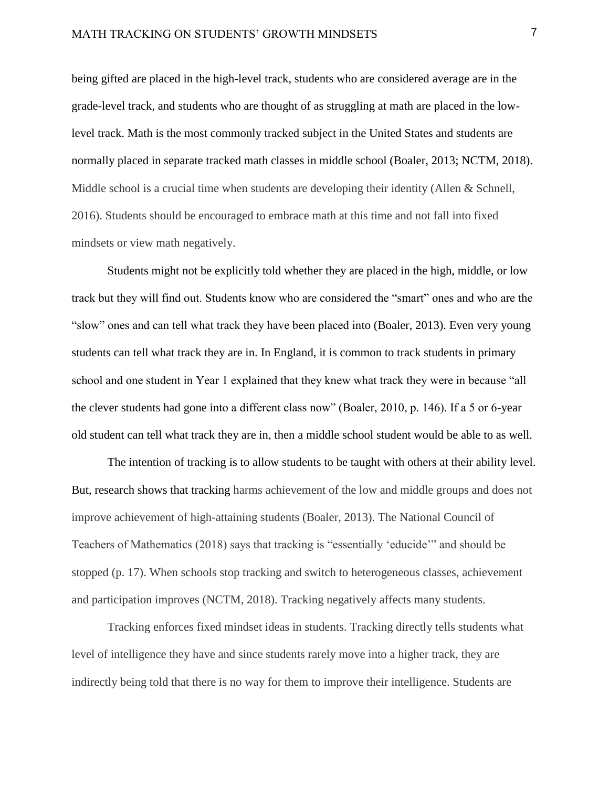being gifted are placed in the high-level track, students who are considered average are in the grade-level track, and students who are thought of as struggling at math are placed in the lowlevel track. Math is the most commonly tracked subject in the United States and students are normally placed in separate tracked math classes in middle school (Boaler, 2013; NCTM, 2018). Middle school is a crucial time when students are developing their identity (Allen & Schnell, 2016). Students should be encouraged to embrace math at this time and not fall into fixed mindsets or view math negatively.

Students might not be explicitly told whether they are placed in the high, middle, or low track but they will find out. Students know who are considered the "smart" ones and who are the "slow" ones and can tell what track they have been placed into (Boaler, 2013). Even very young students can tell what track they are in. In England, it is common to track students in primary school and one student in Year 1 explained that they knew what track they were in because "all the clever students had gone into a different class now" (Boaler, 2010, p. 146). If a 5 or 6-year old student can tell what track they are in, then a middle school student would be able to as well.

The intention of tracking is to allow students to be taught with others at their ability level. But, research shows that tracking harms achievement of the low and middle groups and does not improve achievement of high-attaining students (Boaler, 2013). The National Council of Teachers of Mathematics (2018) says that tracking is "essentially 'educide'" and should be stopped (p. 17). When schools stop tracking and switch to heterogeneous classes, achievement and participation improves (NCTM, 2018). Tracking negatively affects many students.

Tracking enforces fixed mindset ideas in students. Tracking directly tells students what level of intelligence they have and since students rarely move into a higher track, they are indirectly being told that there is no way for them to improve their intelligence. Students are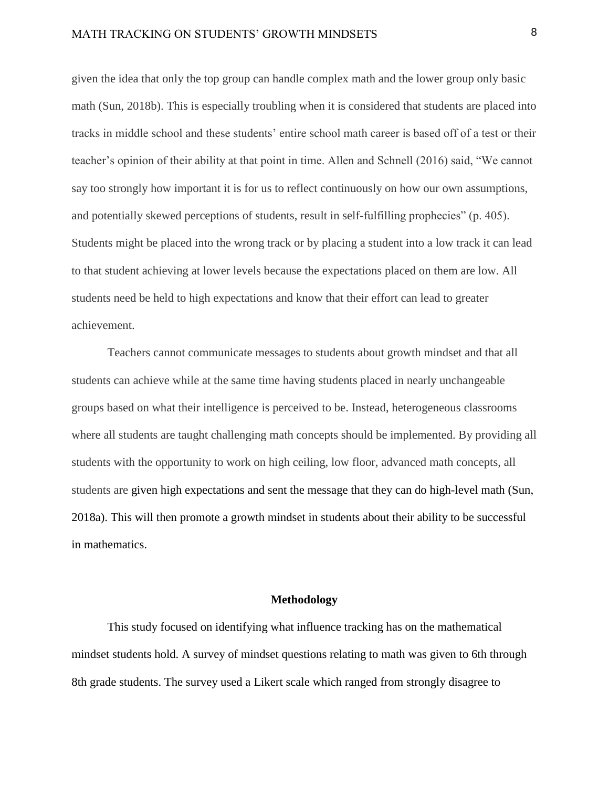## MATH TRACKING ON STUDENTS' GROWTH MINDSETS 8

given the idea that only the top group can handle complex math and the lower group only basic math (Sun, 2018b). This is especially troubling when it is considered that students are placed into tracks in middle school and these students' entire school math career is based off of a test or their teacher's opinion of their ability at that point in time. Allen and Schnell (2016) said, "We cannot say too strongly how important it is for us to reflect continuously on how our own assumptions, and potentially skewed perceptions of students, result in self-fulfilling prophecies" (p. 405). Students might be placed into the wrong track or by placing a student into a low track it can lead to that student achieving at lower levels because the expectations placed on them are low. All students need be held to high expectations and know that their effort can lead to greater achievement.

Teachers cannot communicate messages to students about growth mindset and that all students can achieve while at the same time having students placed in nearly unchangeable groups based on what their intelligence is perceived to be. Instead, heterogeneous classrooms where all students are taught challenging math concepts should be implemented. By providing all students with the opportunity to work on high ceiling, low floor, advanced math concepts, all students are given high expectations and sent the message that they can do high-level math (Sun, 2018a). This will then promote a growth mindset in students about their ability to be successful in mathematics.

#### **Methodology**

This study focused on identifying what influence tracking has on the mathematical mindset students hold. A survey of mindset questions relating to math was given to 6th through 8th grade students. The survey used a Likert scale which ranged from strongly disagree to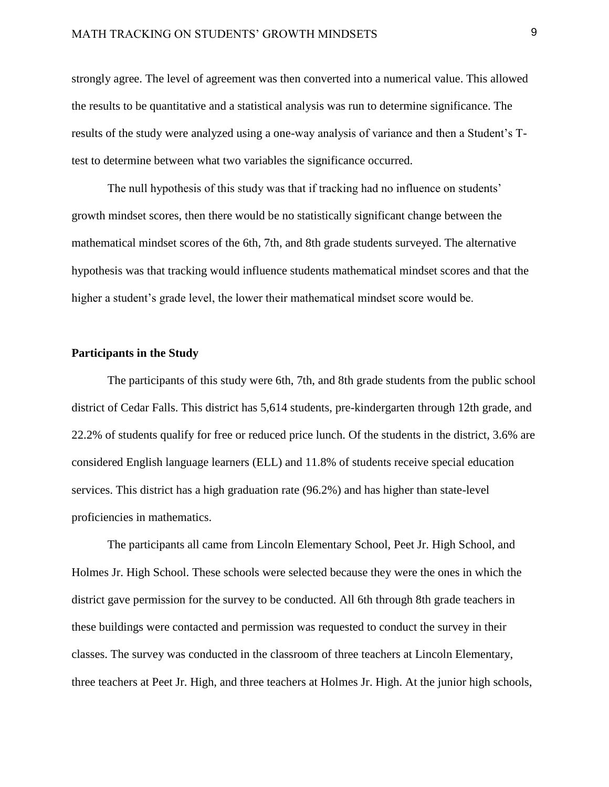## MATH TRACKING ON STUDENTS' GROWTH MINDSETS 9

strongly agree. The level of agreement was then converted into a numerical value. This allowed the results to be quantitative and a statistical analysis was run to determine significance. The results of the study were analyzed using a one-way analysis of variance and then a Student's Ttest to determine between what two variables the significance occurred.

The null hypothesis of this study was that if tracking had no influence on students' growth mindset scores, then there would be no statistically significant change between the mathematical mindset scores of the 6th, 7th, and 8th grade students surveyed. The alternative hypothesis was that tracking would influence students mathematical mindset scores and that the higher a student's grade level, the lower their mathematical mindset score would be.

#### **Participants in the Study**

The participants of this study were 6th, 7th, and 8th grade students from the public school district of Cedar Falls. This district has 5,614 students, pre-kindergarten through 12th grade, and 22.2% of students qualify for free or reduced price lunch. Of the students in the district, 3.6% are considered English language learners (ELL) and 11.8% of students receive special education services. This district has a high graduation rate (96.2%) and has higher than state-level proficiencies in mathematics.

The participants all came from Lincoln Elementary School, Peet Jr. High School, and Holmes Jr. High School. These schools were selected because they were the ones in which the district gave permission for the survey to be conducted. All 6th through 8th grade teachers in these buildings were contacted and permission was requested to conduct the survey in their classes. The survey was conducted in the classroom of three teachers at Lincoln Elementary, three teachers at Peet Jr. High, and three teachers at Holmes Jr. High. At the junior high schools,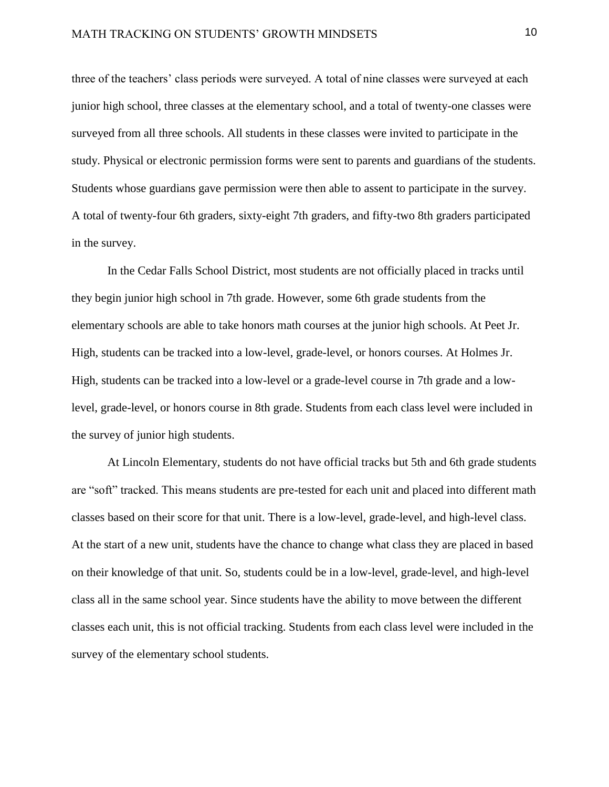three of the teachers' class periods were surveyed. A total of nine classes were surveyed at each junior high school, three classes at the elementary school, and a total of twenty-one classes were surveyed from all three schools. All students in these classes were invited to participate in the study. Physical or electronic permission forms were sent to parents and guardians of the students. Students whose guardians gave permission were then able to assent to participate in the survey. A total of twenty-four 6th graders, sixty-eight 7th graders, and fifty-two 8th graders participated in the survey.

In the Cedar Falls School District, most students are not officially placed in tracks until they begin junior high school in 7th grade. However, some 6th grade students from the elementary schools are able to take honors math courses at the junior high schools. At Peet Jr. High, students can be tracked into a low-level, grade-level, or honors courses. At Holmes Jr. High, students can be tracked into a low-level or a grade-level course in 7th grade and a lowlevel, grade-level, or honors course in 8th grade. Students from each class level were included in the survey of junior high students.

At Lincoln Elementary, students do not have official tracks but 5th and 6th grade students are "soft" tracked. This means students are pre-tested for each unit and placed into different math classes based on their score for that unit. There is a low-level, grade-level, and high-level class. At the start of a new unit, students have the chance to change what class they are placed in based on their knowledge of that unit. So, students could be in a low-level, grade-level, and high-level class all in the same school year. Since students have the ability to move between the different classes each unit, this is not official tracking. Students from each class level were included in the survey of the elementary school students.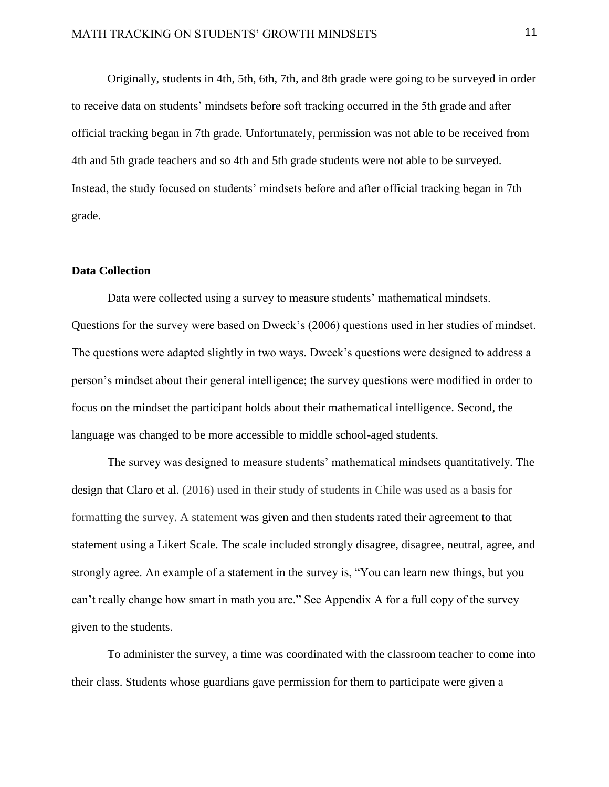Originally, students in 4th, 5th, 6th, 7th, and 8th grade were going to be surveyed in order to receive data on students' mindsets before soft tracking occurred in the 5th grade and after official tracking began in 7th grade. Unfortunately, permission was not able to be received from 4th and 5th grade teachers and so 4th and 5th grade students were not able to be surveyed. Instead, the study focused on students' mindsets before and after official tracking began in 7th grade.

#### **Data Collection**

Data were collected using a survey to measure students' mathematical mindsets. Questions for the survey were based on Dweck's (2006) questions used in her studies of mindset. The questions were adapted slightly in two ways. Dweck's questions were designed to address a person's mindset about their general intelligence; the survey questions were modified in order to focus on the mindset the participant holds about their mathematical intelligence. Second, the language was changed to be more accessible to middle school-aged students.

The survey was designed to measure students' mathematical mindsets quantitatively. The design that Claro et al. (2016) used in their study of students in Chile was used as a basis for formatting the survey. A statement was given and then students rated their agreement to that statement using a Likert Scale. The scale included strongly disagree, disagree, neutral, agree, and strongly agree. An example of a statement in the survey is, "You can learn new things, but you can't really change how smart in math you are." See Appendix A for a full copy of the survey given to the students.

To administer the survey, a time was coordinated with the classroom teacher to come into their class. Students whose guardians gave permission for them to participate were given a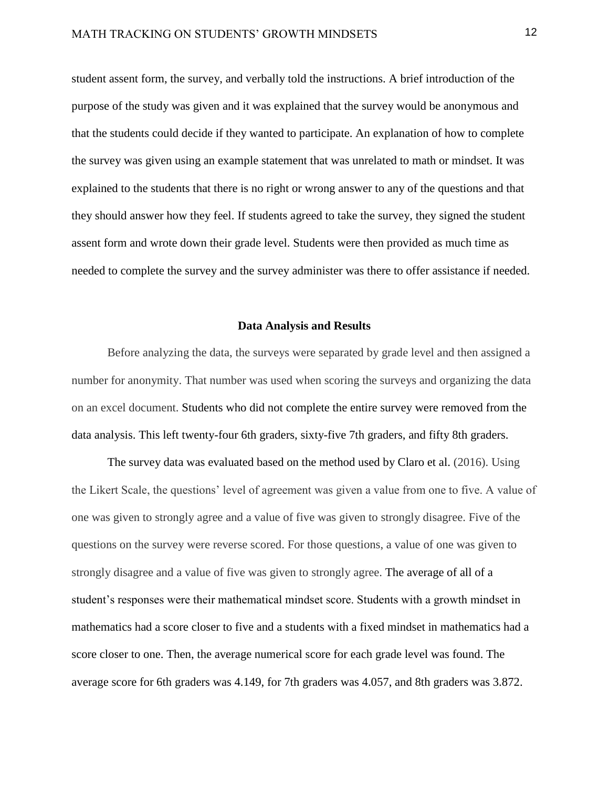student assent form, the survey, and verbally told the instructions. A brief introduction of the purpose of the study was given and it was explained that the survey would be anonymous and that the students could decide if they wanted to participate. An explanation of how to complete the survey was given using an example statement that was unrelated to math or mindset. It was explained to the students that there is no right or wrong answer to any of the questions and that they should answer how they feel. If students agreed to take the survey, they signed the student assent form and wrote down their grade level. Students were then provided as much time as needed to complete the survey and the survey administer was there to offer assistance if needed.

#### **Data Analysis and Results**

Before analyzing the data, the surveys were separated by grade level and then assigned a number for anonymity. That number was used when scoring the surveys and organizing the data on an excel document. Students who did not complete the entire survey were removed from the data analysis. This left twenty-four 6th graders, sixty-five 7th graders, and fifty 8th graders.

The survey data was evaluated based on the method used by Claro et al. (2016). Using the Likert Scale, the questions' level of agreement was given a value from one to five. A value of one was given to strongly agree and a value of five was given to strongly disagree. Five of the questions on the survey were reverse scored. For those questions, a value of one was given to strongly disagree and a value of five was given to strongly agree. The average of all of a student's responses were their mathematical mindset score. Students with a growth mindset in mathematics had a score closer to five and a students with a fixed mindset in mathematics had a score closer to one. Then, the average numerical score for each grade level was found. The average score for 6th graders was 4.149, for 7th graders was 4.057, and 8th graders was 3.872.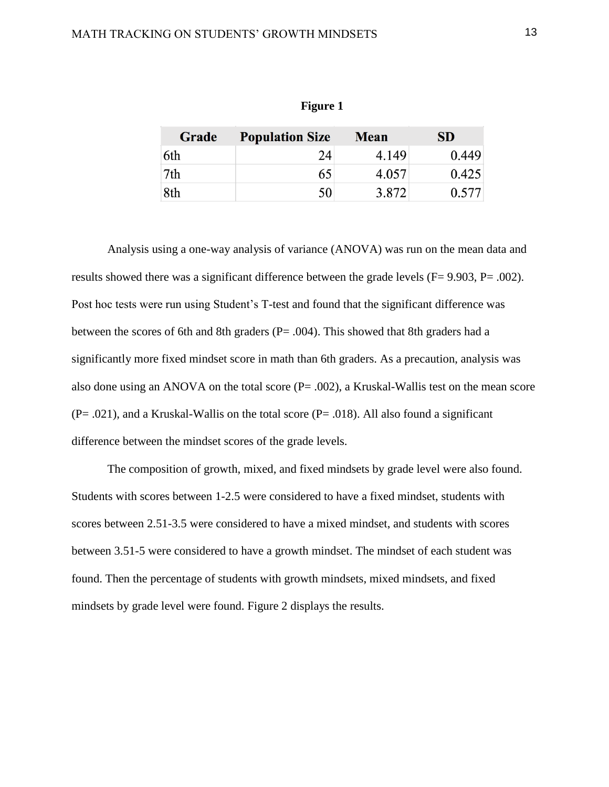| Grade | <b>Population Size</b> | <b>Mean</b> | <b>SD</b> |
|-------|------------------------|-------------|-----------|
| 6th   | 24                     | 4.149       | 0.449     |
| 7th   | 65                     | 4.057       | 0.425     |
| 8th   | 50                     | 3.872       | 0.577     |

**Figure 1**

Analysis using a one-way analysis of variance (ANOVA) was run on the mean data and results showed there was a significant difference between the grade levels (F= 9.903, P= .002). Post hoc tests were run using Student's T-test and found that the significant difference was between the scores of 6th and 8th graders (P= .004). This showed that 8th graders had a significantly more fixed mindset score in math than 6th graders. As a precaution, analysis was also done using an ANOVA on the total score  $(P = .002)$ , a Kruskal-Wallis test on the mean score  $(P=.021)$ , and a Kruskal-Wallis on the total score  $(P=.018)$ . All also found a significant difference between the mindset scores of the grade levels.

The composition of growth, mixed, and fixed mindsets by grade level were also found. Students with scores between 1-2.5 were considered to have a fixed mindset, students with scores between 2.51-3.5 were considered to have a mixed mindset, and students with scores between 3.51-5 were considered to have a growth mindset. The mindset of each student was found. Then the percentage of students with growth mindsets, mixed mindsets, and fixed mindsets by grade level were found. Figure 2 displays the results.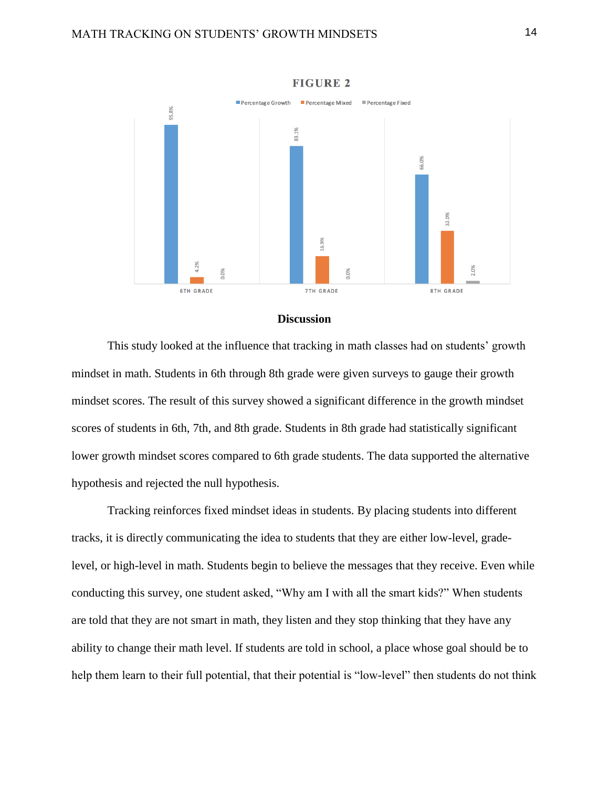

**FIGURE 2** 

#### **Discussion**

This study looked at the influence that tracking in math classes had on students' growth mindset in math. Students in 6th through 8th grade were given surveys to gauge their growth mindset scores. The result of this survey showed a significant difference in the growth mindset scores of students in 6th, 7th, and 8th grade. Students in 8th grade had statistically significant lower growth mindset scores compared to 6th grade students. The data supported the alternative hypothesis and rejected the null hypothesis.

Tracking reinforces fixed mindset ideas in students. By placing students into different tracks, it is directly communicating the idea to students that they are either low-level, gradelevel, or high-level in math. Students begin to believe the messages that they receive. Even while conducting this survey, one student asked, "Why am I with all the smart kids?" When students are told that they are not smart in math, they listen and they stop thinking that they have any ability to change their math level. If students are told in school, a place whose goal should be to help them learn to their full potential, that their potential is "low-level" then students do not think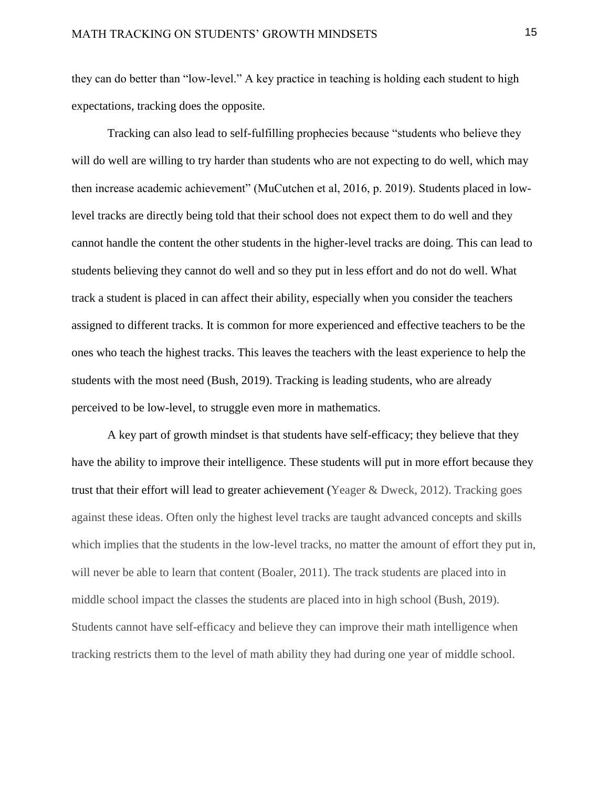they can do better than "low-level." A key practice in teaching is holding each student to high expectations, tracking does the opposite.

Tracking can also lead to self-fulfilling prophecies because "students who believe they will do well are willing to try harder than students who are not expecting to do well, which may then increase academic achievement" (MuCutchen et al, 2016, p. 2019). Students placed in lowlevel tracks are directly being told that their school does not expect them to do well and they cannot handle the content the other students in the higher-level tracks are doing. This can lead to students believing they cannot do well and so they put in less effort and do not do well. What track a student is placed in can affect their ability, especially when you consider the teachers assigned to different tracks. It is common for more experienced and effective teachers to be the ones who teach the highest tracks. This leaves the teachers with the least experience to help the students with the most need (Bush, 2019). Tracking is leading students, who are already perceived to be low-level, to struggle even more in mathematics.

A key part of growth mindset is that students have self-efficacy; they believe that they have the ability to improve their intelligence. These students will put in more effort because they trust that their effort will lead to greater achievement (Yeager & Dweck, 2012). Tracking goes against these ideas. Often only the highest level tracks are taught advanced concepts and skills which implies that the students in the low-level tracks, no matter the amount of effort they put in, will never be able to learn that content (Boaler, 2011). The track students are placed into in middle school impact the classes the students are placed into in high school (Bush, 2019). Students cannot have self-efficacy and believe they can improve their math intelligence when tracking restricts them to the level of math ability they had during one year of middle school.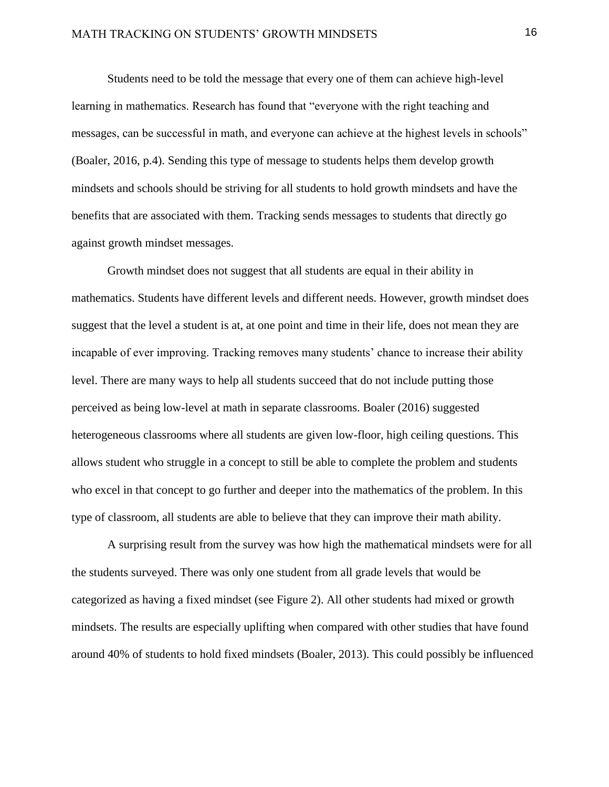Students need to be told the message that every one of them can achieve high-level learning in mathematics. Research has found that "everyone with the right teaching and messages, can be successful in math, and everyone can achieve at the highest levels in schools" (Boaler, 2016, p.4). Sending this type of message to students helps them develop growth mindsets and schools should be striving for all students to hold growth mindsets and have the benefits that are associated with them. Tracking sends messages to students that directly go against growth mindset messages.

Growth mindset does not suggest that all students are equal in their ability in mathematics. Students have different levels and different needs. However, growth mindset does suggest that the level a student is at, at one point and time in their life, does not mean they are incapable of ever improving. Tracking removes many students' chance to increase their ability level. There are many ways to help all students succeed that do not include putting those perceived as being low-level at math in separate classrooms. Boaler (2016) suggested heterogeneous classrooms where all students are given low-floor, high ceiling questions. This allows student who struggle in a concept to still be able to complete the problem and students who excel in that concept to go further and deeper into the mathematics of the problem. In this type of classroom, all students are able to believe that they can improve their math ability.

A surprising result from the survey was how high the mathematical mindsets were for all the students surveyed. There was only one student from all grade levels that would be categorized as having a fixed mindset (see Figure 2). All other students had mixed or growth mindsets. The results are especially uplifting when compared with other studies that have found around 40% of students to hold fixed mindsets (Boaler, 2013). This could possibly be influenced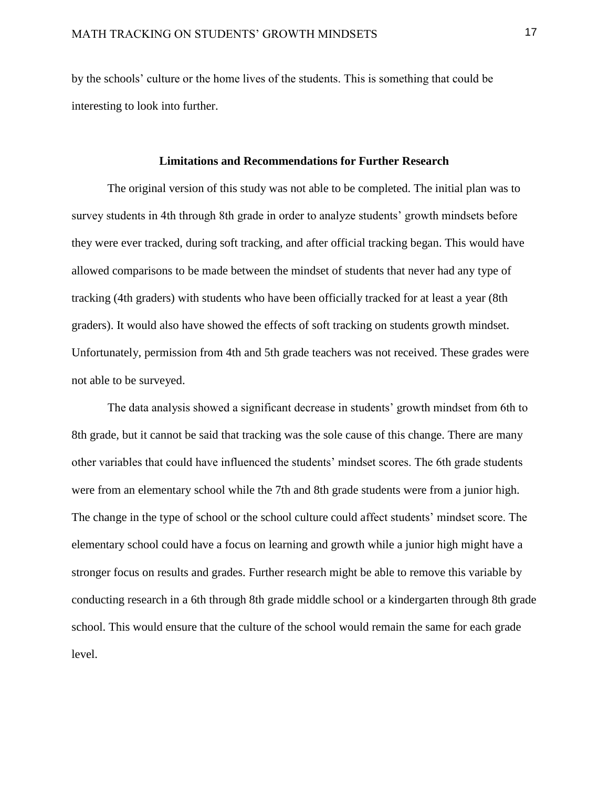by the schools' culture or the home lives of the students. This is something that could be interesting to look into further.

#### **Limitations and Recommendations for Further Research**

The original version of this study was not able to be completed. The initial plan was to survey students in 4th through 8th grade in order to analyze students' growth mindsets before they were ever tracked, during soft tracking, and after official tracking began. This would have allowed comparisons to be made between the mindset of students that never had any type of tracking (4th graders) with students who have been officially tracked for at least a year (8th graders). It would also have showed the effects of soft tracking on students growth mindset. Unfortunately, permission from 4th and 5th grade teachers was not received. These grades were not able to be surveyed.

The data analysis showed a significant decrease in students' growth mindset from 6th to 8th grade, but it cannot be said that tracking was the sole cause of this change. There are many other variables that could have influenced the students' mindset scores. The 6th grade students were from an elementary school while the 7th and 8th grade students were from a junior high. The change in the type of school or the school culture could affect students' mindset score. The elementary school could have a focus on learning and growth while a junior high might have a stronger focus on results and grades. Further research might be able to remove this variable by conducting research in a 6th through 8th grade middle school or a kindergarten through 8th grade school. This would ensure that the culture of the school would remain the same for each grade level.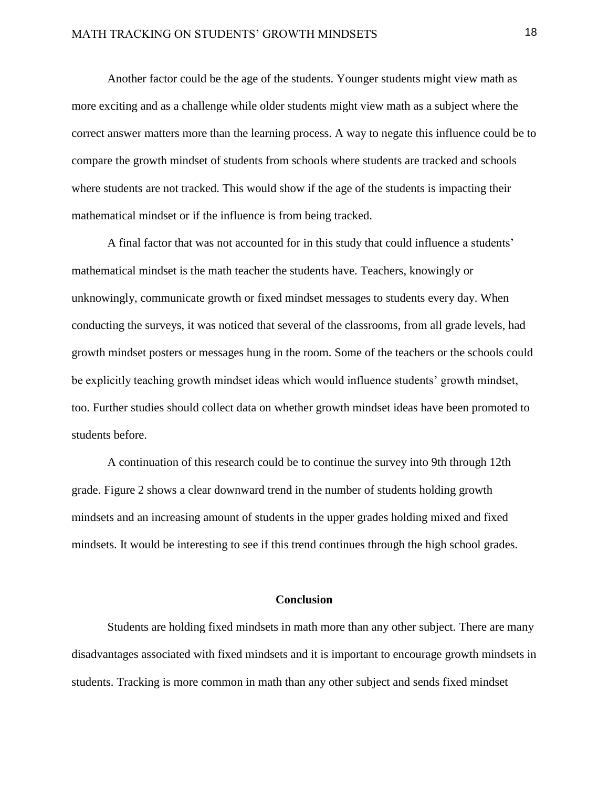Another factor could be the age of the students. Younger students might view math as more exciting and as a challenge while older students might view math as a subject where the correct answer matters more than the learning process. A way to negate this influence could be to compare the growth mindset of students from schools where students are tracked and schools where students are not tracked. This would show if the age of the students is impacting their mathematical mindset or if the influence is from being tracked.

A final factor that was not accounted for in this study that could influence a students' mathematical mindset is the math teacher the students have. Teachers, knowingly or unknowingly, communicate growth or fixed mindset messages to students every day. When conducting the surveys, it was noticed that several of the classrooms, from all grade levels, had growth mindset posters or messages hung in the room. Some of the teachers or the schools could be explicitly teaching growth mindset ideas which would influence students' growth mindset, too. Further studies should collect data on whether growth mindset ideas have been promoted to students before.

A continuation of this research could be to continue the survey into 9th through 12th grade. Figure 2 shows a clear downward trend in the number of students holding growth mindsets and an increasing amount of students in the upper grades holding mixed and fixed mindsets. It would be interesting to see if this trend continues through the high school grades.

#### **Conclusion**

Students are holding fixed mindsets in math more than any other subject. There are many disadvantages associated with fixed mindsets and it is important to encourage growth mindsets in students. Tracking is more common in math than any other subject and sends fixed mindset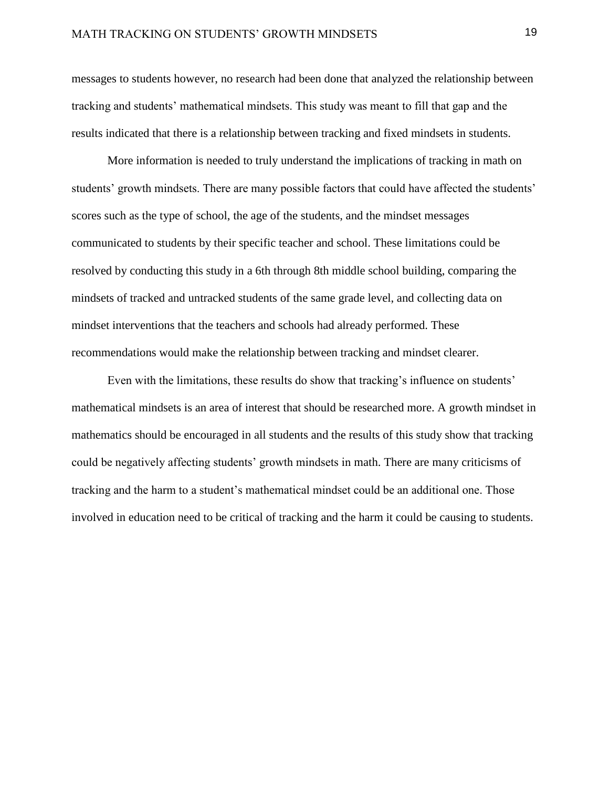messages to students however, no research had been done that analyzed the relationship between tracking and students' mathematical mindsets. This study was meant to fill that gap and the results indicated that there is a relationship between tracking and fixed mindsets in students.

More information is needed to truly understand the implications of tracking in math on students' growth mindsets. There are many possible factors that could have affected the students' scores such as the type of school, the age of the students, and the mindset messages communicated to students by their specific teacher and school. These limitations could be resolved by conducting this study in a 6th through 8th middle school building, comparing the mindsets of tracked and untracked students of the same grade level, and collecting data on mindset interventions that the teachers and schools had already performed. These recommendations would make the relationship between tracking and mindset clearer.

Even with the limitations, these results do show that tracking's influence on students' mathematical mindsets is an area of interest that should be researched more. A growth mindset in mathematics should be encouraged in all students and the results of this study show that tracking could be negatively affecting students' growth mindsets in math. There are many criticisms of tracking and the harm to a student's mathematical mindset could be an additional one. Those involved in education need to be critical of tracking and the harm it could be causing to students.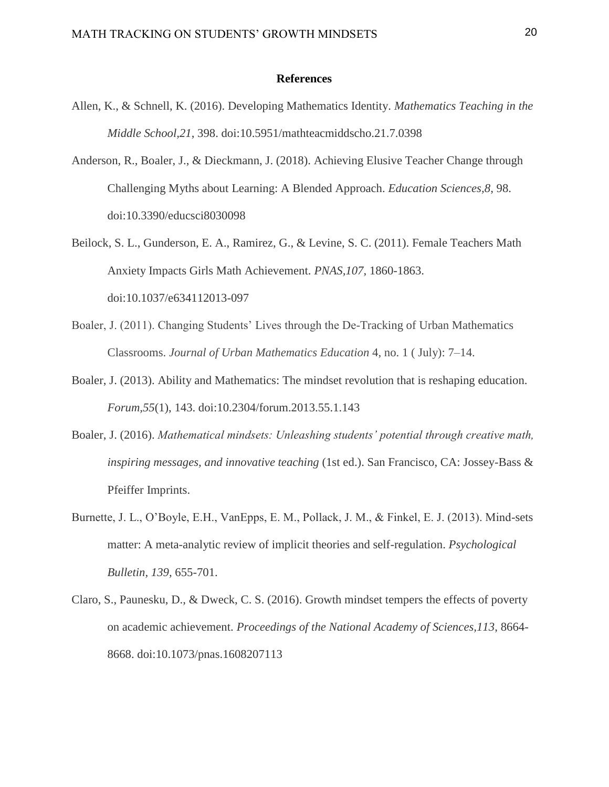#### **References**

- Allen, K., & Schnell, K. (2016). Developing Mathematics Identity. *Mathematics Teaching in the Middle School,21*, 398. doi:10.5951/mathteacmiddscho.21.7.0398
- Anderson, R., Boaler, J., & Dieckmann, J. (2018). Achieving Elusive Teacher Change through Challenging Myths about Learning: A Blended Approach. *Education Sciences,8*, 98. doi:10.3390/educsci8030098
- Beilock, S. L., Gunderson, E. A., Ramirez, G., & Levine, S. C. (2011). Female Teachers Math Anxiety Impacts Girls Math Achievement. *PNAS,107*, 1860-1863. doi:10.1037/e634112013-097
- Boaler, J. (2011). Changing Students' Lives through the De-Tracking of Urban Mathematics Classrooms. *Journal of Urban Mathematics Education* 4, no. 1 ( July): 7–14.
- Boaler, J. (2013). Ability and Mathematics: The mindset revolution that is reshaping education. *Forum,55*(1), 143. doi:10.2304/forum.2013.55.1.143
- Boaler, J. (2016). *Mathematical mindsets: Unleashing students' potential through creative math, inspiring messages, and innovative teaching* (1st ed.). San Francisco, CA: Jossey-Bass & Pfeiffer Imprints.
- Burnette, J. L., O'Boyle, E.H., VanEpps, E. M., Pollack, J. M., & Finkel, E. J. (2013). Mind-sets matter: A meta-analytic review of implicit theories and self-regulation. *Psychological Bulletin, 139,* 655-701.
- Claro, S., Paunesku, D., & Dweck, C. S. (2016). Growth mindset tempers the effects of poverty on academic achievement. *Proceedings of the National Academy of Sciences,113*, 8664- 8668. doi:10.1073/pnas.1608207113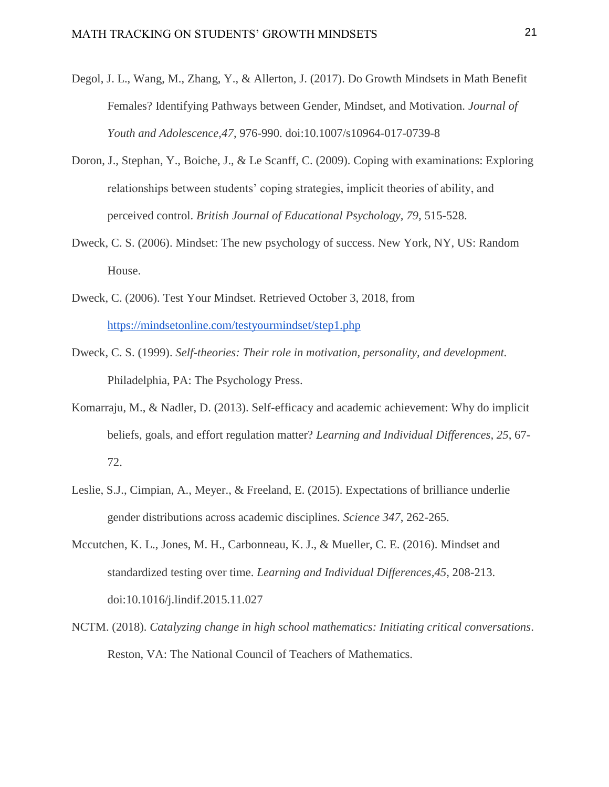- Degol, J. L., Wang, M., Zhang, Y., & Allerton, J. (2017). Do Growth Mindsets in Math Benefit Females? Identifying Pathways between Gender, Mindset, and Motivation. *Journal of Youth and Adolescence,47*, 976-990. doi:10.1007/s10964-017-0739-8
- Doron, J., Stephan, Y., Boiche, J., & Le Scanff, C. (2009). Coping with examinations: Exploring relationships between students' coping strategies, implicit theories of ability, and perceived control. *British Journal of Educational Psychology, 79,* 515-528.
- Dweck, C. S. (2006). Mindset: The new psychology of success. New York, NY, US: Random House.
- Dweck, C. (2006). Test Your Mindset. Retrieved October 3, 2018, from <https://mindsetonline.com/testyourmindset/step1.php>
- Dweck, C. S. (1999). *Self-theories: Their role in motivation, personality, and development.*  Philadelphia, PA: The Psychology Press.
- Komarraju, M., & Nadler, D. (2013). Self-efficacy and academic achievement: Why do implicit beliefs, goals, and effort regulation matter? *Learning and Individual Differences, 25*, 67- 72.
- Leslie, S.J., Cimpian, A., Meyer., & Freeland, E. (2015). Expectations of brilliance underlie gender distributions across academic disciplines. *Science 347*, 262-265.
- Mccutchen, K. L., Jones, M. H., Carbonneau, K. J., & Mueller, C. E. (2016). Mindset and standardized testing over time. *Learning and Individual Differences,45*, 208-213. doi:10.1016/j.lindif.2015.11.027
- NCTM. (2018). *Catalyzing change in high school mathematics: Initiating critical conversations*. Reston, VA: The National Council of Teachers of Mathematics.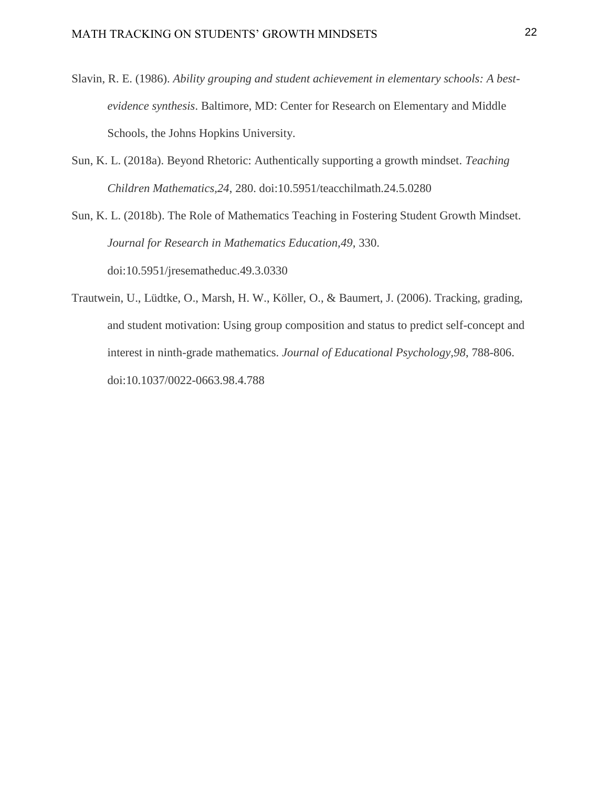- Slavin, R. E. (1986). *Ability grouping and student achievement in elementary schools: A bestevidence synthesis*. Baltimore, MD: Center for Research on Elementary and Middle Schools, the Johns Hopkins University.
- Sun, K. L. (2018a). Beyond Rhetoric: Authentically supporting a growth mindset. *Teaching Children Mathematics,24*, 280. doi:10.5951/teacchilmath.24.5.0280

Sun, K. L. (2018b). The Role of Mathematics Teaching in Fostering Student Growth Mindset. *Journal for Research in Mathematics Education,49*, 330. doi:10.5951/jresematheduc.49.3.0330

Trautwein, U., Lüdtke, O., Marsh, H. W., Köller, O., & Baumert, J. (2006). Tracking, grading, and student motivation: Using group composition and status to predict self-concept and interest in ninth-grade mathematics. *Journal of Educational Psychology,98*, 788-806. doi:10.1037/0022-0663.98.4.788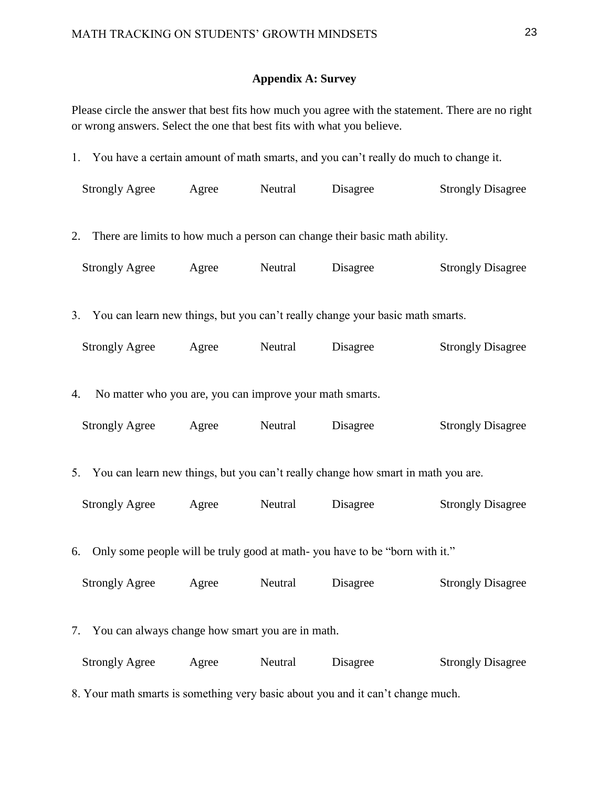# **Appendix A: Survey**

Please circle the answer that best fits how much you agree with the statement. There are no right or wrong answers. Select the one that best fits with what you believe.

| 1. You have a certain amount of math smarts, and you can't really do much to change it. |       |         |          |                          |  |  |
|-----------------------------------------------------------------------------------------|-------|---------|----------|--------------------------|--|--|
| <b>Strongly Agree</b>                                                                   | Agree | Neutral | Disagree | <b>Strongly Disagree</b> |  |  |
| 2. There are limits to how much a person can change their basic math ability.           |       |         |          |                          |  |  |
| <b>Strongly Agree</b>                                                                   | Agree | Neutral | Disagree | <b>Strongly Disagree</b> |  |  |
| 3. You can learn new things, but you can't really change your basic math smarts.        |       |         |          |                          |  |  |
| <b>Strongly Agree</b>                                                                   | Agree | Neutral | Disagree | <b>Strongly Disagree</b> |  |  |
| No matter who you are, you can improve your math smarts.<br>4.                          |       |         |          |                          |  |  |
| <b>Strongly Agree</b>                                                                   | Agree | Neutral | Disagree | <b>Strongly Disagree</b> |  |  |
| 5. You can learn new things, but you can't really change how smart in math you are.     |       |         |          |                          |  |  |
| <b>Strongly Agree</b>                                                                   | Agree | Neutral | Disagree | <b>Strongly Disagree</b> |  |  |
| 6. Only some people will be truly good at math-you have to be "born with it."           |       |         |          |                          |  |  |
| <b>Strongly Agree</b>                                                                   | Agree | Neutral | Disagree | <b>Strongly Disagree</b> |  |  |
| 7. You can always change how smart you are in math.                                     |       |         |          |                          |  |  |
| Strongly Agree Agree Neutral                                                            |       |         | Disagree | <b>Strongly Disagree</b> |  |  |
| 8. Your math smarts is something very basic about you and it can't change much.         |       |         |          |                          |  |  |